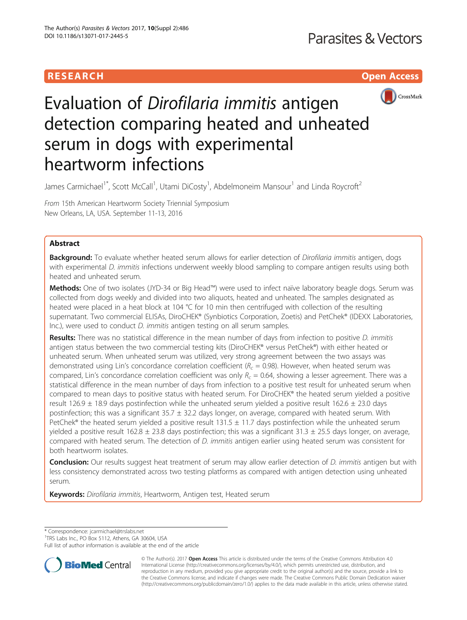# **RESEARCH CHING CONSUMING CONSUMING CONSUMING CONSUMING CONSUMING CONSUMING CONSUMING CONSUMING CONSUMING CONSUMING CONSUMING CONSUMING CONSUMING CONSUMING CONSUMING CONSUMING CONSUMING CONSUMING CONSUMING CONSUMING CONS**



# Evaluation of Dirofilaria immitis antigen detection comparing heated and unheated serum in dogs with experimental heartworm infections

James Carmichael<sup>1\*</sup>, Scott McCall<sup>1</sup>, Utami DiCosty<sup>1</sup>, Abdelmoneim Mansour<sup>1</sup> and Linda Roycroft<sup>2</sup>

From 15th American Heartworm Society Triennial Symposium New Orleans, LA, USA. September 11-13, 2016

# Abstract

**Background:** To evaluate whether heated serum allows for earlier detection of Dirofilaria immitis antigen, dogs with experimental D. immitis infections underwent weekly blood sampling to compare antigen results using both heated and unheated serum.

Methods: One of two isolates (JYD-34 or Big Head™) were used to infect naïve laboratory beagle dogs. Serum was collected from dogs weekly and divided into two aliquots, heated and unheated. The samples designated as heated were placed in a heat block at 104 °C for 10 min then centrifuged with collection of the resulting supernatant. Two commercial ELISAs, DiroCHEK® (Synbiotics Corporation, Zoetis) and PetChek® (IDEXX Laboratories, Inc.), were used to conduct *D. immitis* antigen testing on all serum samples.

Results: There was no statistical difference in the mean number of days from infection to positive D. immitis antigen status between the two commercial testing kits (DiroCHEK® versus PetChek®) with either heated or unheated serum. When unheated serum was utilized, very strong agreement between the two assays was demonstrated using Lin's concordance correlation coefficient ( $R_c = 0.98$ ). However, when heated serum was compared, Lin's concordance correlation coefficient was only  $R_c = 0.64$ , showing a lesser agreement. There was a statistical difference in the mean number of days from infection to a positive test result for unheated serum when compared to mean days to positive status with heated serum. For DiroCHEK® the heated serum yielded a positive result 126.9  $\pm$  18.9 days postinfection while the unheated serum yielded a positive result 162.6  $\pm$  23.0 days postinfection; this was a significant  $35.7 \pm 32.2$  days longer, on average, compared with heated serum. With PetChek® the heated serum yielded a positive result 131.5  $\pm$  11.7 days postinfection while the unheated serum yielded a positive result 162.8  $\pm$  23.8 days postinfection; this was a significant 31.3  $\pm$  25.5 days longer, on average, compared with heated serum. The detection of D. immitis antigen earlier using heated serum was consistent for both heartworm isolates.

Conclusion: Our results suggest heat treatment of serum may allow earlier detection of D. immitis antigen but with less consistency demonstrated across two testing platforms as compared with antigen detection using unheated serum.

Keywords: Dirofilaria immitis, Heartworm, Antigen test, Heated serum

\* Correspondence: [jcarmichael@trslabs.net](mailto:jcarmichael@trslabs.net) <sup>1</sup>

<sup>1</sup>TRS Labs Inc., PO Box 5112, Athens, GA 30604, USA

Full list of author information is available at the end of the article



© The Author(s). 2017 **Open Access** This article is distributed under the terms of the Creative Commons Attribution 4.0 International License [\(http://creativecommons.org/licenses/by/4.0/](http://creativecommons.org/licenses/by/4.0/)), which permits unrestricted use, distribution, and reproduction in any medium, provided you give appropriate credit to the original author(s) and the source, provide a link to the Creative Commons license, and indicate if changes were made. The Creative Commons Public Domain Dedication waiver [\(http://creativecommons.org/publicdomain/zero/1.0/](http://creativecommons.org/publicdomain/zero/1.0/)) applies to the data made available in this article, unless otherwise stated.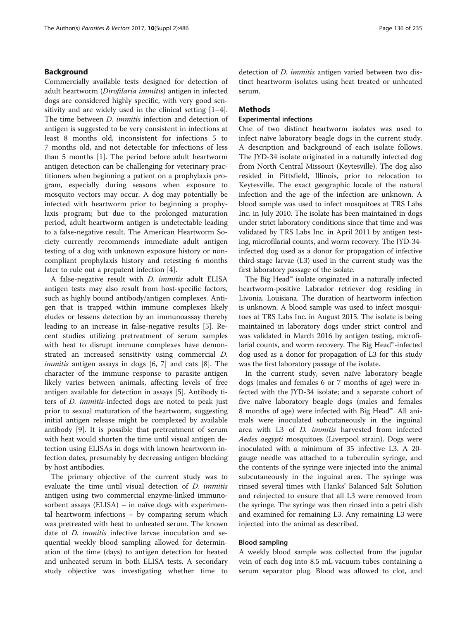# Background

Commercially available tests designed for detection of adult heartworm (Dirofilaria immitis) antigen in infected dogs are considered highly specific, with very good sensitivity and are widely used in the clinical setting [\[1](#page-8-0)–[4](#page-8-0)]. The time between *D. immitis* infection and detection of antigen is suggested to be very consistent in infections at least 8 months old, inconsistent for infections 5 to 7 months old, and not detectable for infections of less than 5 months [\[1](#page-8-0)]. The period before adult heartworm antigen detection can be challenging for veterinary practitioners when beginning a patient on a prophylaxis program, especially during seasons when exposure to mosquito vectors may occur. A dog may potentially be infected with heartworm prior to beginning a prophylaxis program; but due to the prolonged maturation period, adult heartworm antigen is undetectable leading to a false-negative result. The American Heartworm Society currently recommends immediate adult antigen testing of a dog with unknown exposure history or noncompliant prophylaxis history and retesting 6 months later to rule out a prepatent infection [[4\]](#page-8-0).

A false-negative result with D. immitis adult ELISA antigen tests may also result from host-specific factors, such as highly bound antibody/antigen complexes. Antigen that is trapped within immune complexes likely eludes or lessens detection by an immunoassay thereby leading to an increase in false-negative results [[5\]](#page-8-0). Recent studies utilizing pretreatment of serum samples with heat to disrupt immune complexes have demonstrated an increased sensitivity using commercial D. immitis antigen assays in dogs [[6, 7\]](#page-8-0) and cats [[8\]](#page-8-0). The character of the immune response to parasite antigen likely varies between animals, affecting levels of free antigen available for detection in assays [[5](#page-8-0)]. Antibody titers of D. immitis-infected dogs are noted to peak just prior to sexual maturation of the heartworm, suggesting initial antigen release might be complexed by available antibody [[9\]](#page-8-0). It is possible that pretreatment of serum with heat would shorten the time until visual antigen detection using ELISAs in dogs with known heartworm infection dates, presumably by decreasing antigen blocking by host antibodies.

The primary objective of the current study was to evaluate the time until visual detection of D. immitis antigen using two commercial enzyme-linked immunosorbent assays (ELISA) – in naïve dogs with experimental heartworm infections – by comparing serum which was pretreated with heat to unheated serum. The known date of *D. immitis* infective larvae inoculation and sequential weekly blood sampling allowed for determination of the time (days) to antigen detection for heated and unheated serum in both ELISA tests. A secondary study objective was investigating whether time to detection of D. immitis antigen varied between two distinct heartworm isolates using heat treated or unheated serum.

# **Methods**

# Experimental infections

One of two distinct heartworm isolates was used to infect naïve laboratory beagle dogs in the current study. A description and background of each isolate follows. The JYD-34 isolate originated in a naturally infected dog from North Central Missouri (Keytesville). The dog also resided in Pittsfield, Illinois, prior to relocation to Keytesville. The exact geographic locale of the natural infection and the age of the infection are unknown. A blood sample was used to infect mosquitoes at TRS Labs Inc. in July 2010. The isolate has been maintained in dogs under strict laboratory conditions since that time and was validated by TRS Labs Inc. in April 2011 by antigen testing, microfilarial counts, and worm recovery. The JYD-34 infected dog used as a donor for propagation of infective third-stage larvae (L3) used in the current study was the first laboratory passage of the isolate.

The Big Head™ isolate originated in a naturally infected heartworm-positive Labrador retriever dog residing in Livonia, Louisiana. The duration of heartworm infection is unknown. A blood sample was used to infect mosquitoes at TRS Labs Inc. in August 2015. The isolate is being maintained in laboratory dogs under strict control and was validated in March 2016 by antigen testing, microfilarial counts, and worm recovery. The Big Head™-infected dog used as a donor for propagation of L3 for this study was the first laboratory passage of the isolate.

In the current study, seven naïve laboratory beagle dogs (males and females 6 or 7 months of age) were infected with the JYD-34 isolate; and a separate cohort of five naïve laboratory beagle dogs (males and females 8 months of age) were infected with Big Head™. All animals were inoculated subcutaneously in the inguinal area with L3 of D. immitis harvested from infected Aedes aegypti mosquitoes (Liverpool strain). Dogs were inoculated with a minimum of 35 infective L3. A 20 gauge needle was attached to a tuberculin syringe, and the contents of the syringe were injected into the animal subcutaneously in the inguinal area. The syringe was rinsed several times with Hanks' Balanced Salt Solution and reinjected to ensure that all L3 were removed from the syringe. The syringe was then rinsed into a petri dish and examined for remaining L3. Any remaining L3 were injected into the animal as described.

# Blood sampling

A weekly blood sample was collected from the jugular vein of each dog into 8.5 mL vacuum tubes containing a serum separator plug. Blood was allowed to clot, and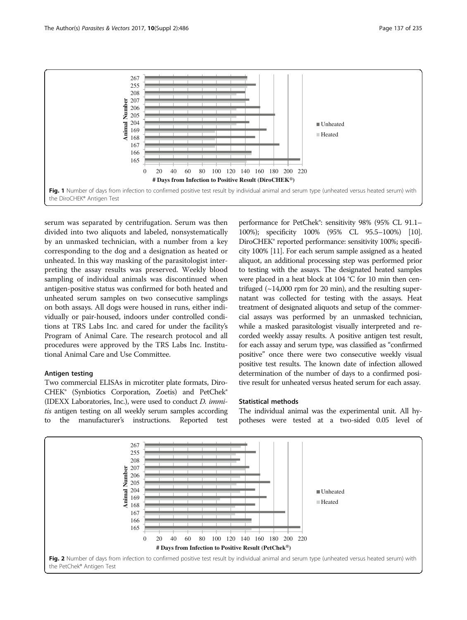<span id="page-2-0"></span>

serum was separated by centrifugation. Serum was then divided into two aliquots and labeled, nonsystematically by an unmasked technician, with a number from a key corresponding to the dog and a designation as heated or unheated. In this way masking of the parasitologist interpreting the assay results was preserved. Weekly blood sampling of individual animals was discontinued when antigen-positive status was confirmed for both heated and unheated serum samples on two consecutive samplings on both assays. All dogs were housed in runs, either individually or pair-housed, indoors under controlled conditions at TRS Labs Inc. and cared for under the facility's Program of Animal Care. The research protocol and all procedures were approved by the TRS Labs Inc. Institutional Animal Care and Use Committee.

# Antigen testing

Two commercial ELISAs in microtiter plate formats, Diro-CHEK® (Synbiotics Corporation, Zoetis) and PetChek® (IDEXX Laboratories, Inc.), were used to conduct D. immitis antigen testing on all weekly serum samples according to the manufacturer's instructions. Reported test

performance for PetChek®: sensitivity 98% (95% CL 91.1– 100%); specificity 100% (95% CL 95.5–100%) [\[10](#page-8-0)]. DiroCHEK® reported performance: sensitivity 100%; specificity 100% [\[11](#page-8-0)]. For each serum sample assigned as a heated aliquot, an additional processing step was performed prior to testing with the assays. The designated heated samples were placed in a heat block at 104 °C for 10 min then centrifuged  $(\sim 14,000$  rpm for 20 min), and the resulting supernatant was collected for testing with the assays. Heat treatment of designated aliquots and setup of the commercial assays was performed by an unmasked technician, while a masked parasitologist visually interpreted and recorded weekly assay results. A positive antigen test result, for each assay and serum type, was classified as "confirmed positive" once there were two consecutive weekly visual positive test results. The known date of infection allowed determination of the number of days to a confirmed positive result for unheated versus heated serum for each assay.

## Statistical methods

The individual animal was the experimental unit. All hypotheses were tested at a two-sided 0.05 level of

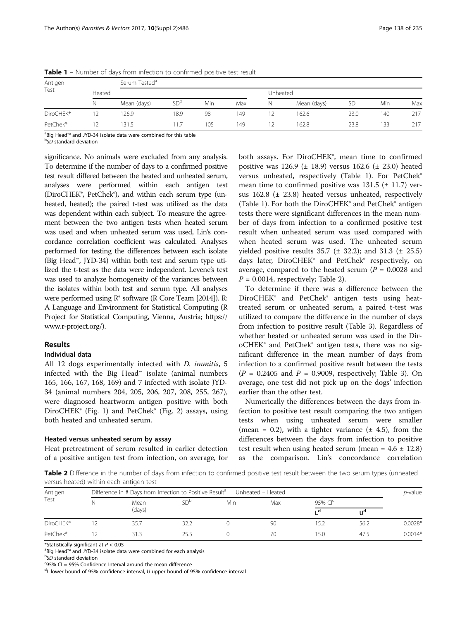| Antigen<br>Test |        | Serum Tested <sup>a</sup> |                 |     |     |   |             |           |     |     |  |
|-----------------|--------|---------------------------|-----------------|-----|-----|---|-------------|-----------|-----|-----|--|
|                 | Heated |                           |                 |     |     |   | Unheated    |           |     |     |  |
|                 | N      | Mean (days)               | SD <sup>b</sup> | Min | Max | N | Mean (days) | <b>SD</b> | Min | Max |  |
| DiroCHEK®       | 12     | 26.9                      | 18.9            | 98  | 149 |   | 162.6       | 23.0      | 140 | 217 |  |
| PetChek®        | 12     | 131.5                     | 117             | 105 | 149 |   | 162.8       | 23.8      | 133 | 217 |  |

Table 1 – Number of days from infection to confirmed positive test result

<sup>a</sup>Big Head™ and JYD-34 isolate data were combined for this table<br><sup>b</sup>SD standard deviation

<sup>b</sup>SD standard deviation

significance. No animals were excluded from any analysis. To determine if the number of days to a confirmed positive test result differed between the heated and unheated serum, analyses were performed within each antigen test (DiroCHEK®, PetChek®), and within each serum type (unheated, heated); the paired t-test was utilized as the data was dependent within each subject. To measure the agreement between the two antigen tests when heated serum was used and when unheated serum was used, Lin's concordance correlation coefficient was calculated. Analyses performed for testing the differences between each isolate (Big Head™, JYD-34) within both test and serum type utilized the t-test as the data were independent. Levene's test was used to analyze homogeneity of the variances between the isolates within both test and serum type. All analyses were performed using R® software (R Core Team [2014]). R: A Language and Environment for Statistical Computing (R Project for Statistical Computing, Vienna, Austria; [https://](https://www.r-project.org/) [www.r-project.org/](https://www.r-project.org/)).

# Results

# Individual data

All 12 dogs experimentally infected with D. immitis, 5 infected with the Big Head™ isolate (animal numbers 165, 166, 167, 168, 169) and 7 infected with isolate JYD-34 (animal numbers 204, 205, 206, 207, 208, 255, 267), were diagnosed heartworm antigen positive with both DiroCHEK® (Fig. [1](#page-2-0)) and PetChek® (Fig. [2](#page-2-0)) assays, using both heated and unheated serum.

### Heated versus unheated serum by assay

Heat pretreatment of serum resulted in earlier detection of a positive antigen test from infection, on average, for

both assays. For DiroCHEK®, mean time to confirmed positive was 126.9 ( $\pm$  18.9) versus 162.6 ( $\pm$  23.0) heated versus unheated, respectively (Table 1). For PetChek® mean time to confirmed positive was  $131.5$  ( $\pm$  11.7) versus  $162.8$  ( $\pm$  23.8) heated versus unheated, respectively (Table 1). For both the DiroCHEK® and PetChek® antigen tests there were significant differences in the mean number of days from infection to a confirmed positive test result when unheated serum was used compared with when heated serum was used. The unheated serum yielded positive results  $35.7 \pm 32.2$ ; and  $31.3 \pm 25.5$ ) days later, DiroCHEK® and PetChek® respectively, on average, compared to the heated serum ( $P = 0.0028$  and  $P = 0.0014$ , respectively; Table 2).

To determine if there was a difference between the DiroCHEK® and PetChek® antigen tests using heattreated serum or unheated serum, a paired t-test was utilized to compare the difference in the number of days from infection to positive result (Table [3](#page-4-0)). Regardless of whether heated or unheated serum was used in the DiroCHEK® and PetChek® antigen tests, there was no significant difference in the mean number of days from infection to a confirmed positive result between the tests  $(P = 0.2405$  and  $P = 0.9009$ , respectively; Table [3\)](#page-4-0). On average, one test did not pick up on the dogs' infection earlier than the other test.

Numerically the differences between the days from infection to positive test result comparing the two antigen tests when using unheated serum were smaller (mean = 0.2), with a tighter variance  $(\pm 4.5)$ , from the differences between the days from infection to positive test result when using heated serum (mean =  $4.6 \pm 12.8$ ) as the comparison. Lin's concordance correlation

Table 2 Difference in the number of days from infection to confirmed positive test result between the two serum types (unheated versus heated) within each antigen test

| Antigen<br>Test | Difference in # Days from Infection to Positive Result <sup>a</sup><br>Unheated - Heated |                |                 |     |     |           |       |           |
|-----------------|------------------------------------------------------------------------------------------|----------------|-----------------|-----|-----|-----------|-------|-----------|
|                 |                                                                                          | Mean<br>(days) | SD <sup>b</sup> | Min | Max | 95% $Clc$ |       |           |
|                 |                                                                                          |                |                 |     |     | ιd        | $U^d$ |           |
| DiroCHEK®       |                                                                                          | 35.7           | 32.2            |     |     | 15.2      | 56.2  | $0.0028*$ |
| PetChek®        |                                                                                          | 31.3           | 25.5            |     | 70  | 15.0      | 47.5  | $0.0014*$ |

\*Statistically significant at  $P < 0.05$ 

Big Head™ and JYD-34 isolate data were combined for each analysis <sup>b</sup>

<sup>b</sup>SD standard deviation<br><sup>c</sup>95% CI = 95% Confidence Interval around the mean difference

<sup>d</sup>L lower bound of 95% confidence interval, U upper bound of 95% confidence interval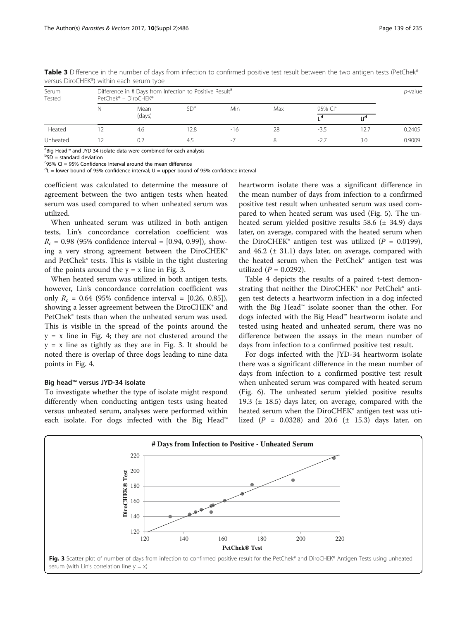|                 |                                                                                             | versas Birber ien y within caeri scrani type |                 |       |     |           |      |        |
|-----------------|---------------------------------------------------------------------------------------------|----------------------------------------------|-----------------|-------|-----|-----------|------|--------|
| Serum<br>Tested | Difference in # Days from Infection to Positive Result <sup>a</sup><br>PetChek® - DiroCHEK® |                                              |                 |       |     |           |      |        |
|                 |                                                                                             | Mean<br>(days)                               | SD <sup>b</sup> | Min   | Max | 95% $Clc$ |      |        |
|                 |                                                                                             |                                              |                 |       |     | ιd        | IJ۹  |        |
| Heated          |                                                                                             | 4.6                                          | 12.8            | $-16$ | 28  | $-3.5$    | 12.7 | 0.2405 |
| Unheated        |                                                                                             | 0.2                                          | 4.5             | ٠.    |     | $-2.7$    | 3.0  | 0.9009 |

<span id="page-4-0"></span>Table 3 Difference in the number of days from infection to confirmed positive test result between the two antigen tests (PetChek® versus DiroCHEK®) within each serum type

<sup>a</sup>Big Head™ and JYD-34 isolate data were combined for each analysis<br><sup>b</sup>SD = standard deviation

 ${}^{b}SD$  = standard deviation

<sup>c</sup>95% CI = 95% Confidence Interval around the mean difference

<sup>d</sup>L = lower bound of 95% confidence interval; U = upper bound of 95% confidence interval

coefficient was calculated to determine the measure of agreement between the two antigen tests when heated serum was used compared to when unheated serum was utilized.

When unheated serum was utilized in both antigen tests, Lin's concordance correlation coefficient was  $R_c = 0.98$  (95% confidence interval = [0.94, 0.99]), showing a very strong agreement between the DiroCHEK® and PetChek® tests. This is visible in the tight clustering of the points around the  $y = x$  line in Fig. 3.

When heated serum was utilized in both antigen tests, however, Lin's concordance correlation coefficient was only  $R_c = 0.64$  (95% confidence interval = [0.26, 0.85]), showing a lesser agreement between the DiroCHEK® and PetChek® tests than when the unheated serum was used. This is visible in the spread of the points around the  $y = x$  line in Fig. [4;](#page-5-0) they are not clustered around the  $y = x$  line as tightly as they are in Fig. 3. It should be noted there is overlap of three dogs leading to nine data points in Fig. [4](#page-5-0).

# Big head™ versus JYD-34 isolate

To investigate whether the type of isolate might respond differently when conducting antigen tests using heated versus unheated serum, analyses were performed within each isolate. For dogs infected with the Big Head™ heartworm isolate there was a significant difference in the mean number of days from infection to a confirmed positive test result when unheated serum was used compared to when heated serum was used (Fig. [5\)](#page-5-0). The unheated serum yielded positive results 58.6 (± 34.9) days later, on average, compared with the heated serum when the DiroCHEK® antigen test was utilized  $(P = 0.0199)$ , and  $46.2$  ( $\pm$  31.1) days later, on average, compared with the heated serum when the PetChek® antigen test was utilized  $(P = 0.0292)$ .

Table [4](#page-6-0) depicts the results of a paired t-test demonstrating that neither the DiroCHEK® nor PetChek® antigen test detects a heartworm infection in a dog infected with the Big Head™ isolate sooner than the other. For dogs infected with the Big Head™ heartworm isolate and tested using heated and unheated serum, there was no difference between the assays in the mean number of days from infection to a confirmed positive test result.

For dogs infected with the JYD-34 heartworm isolate there was a significant difference in the mean number of days from infection to a confirmed positive test result when unheated serum was compared with heated serum (Fig. [6](#page-6-0)). The unheated serum yielded positive results 19.3 (± 18.5) days later, on average, compared with the heated serum when the DiroCHEK® antigen test was utilized  $(P = 0.0328)$  and 20.6 ( $\pm$  15.3) days later, on

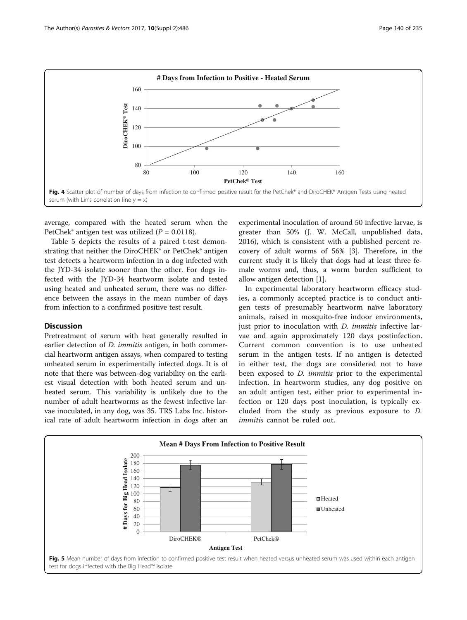<span id="page-5-0"></span>

average, compared with the heated serum when the PetChek® antigen test was utilized ( $P = 0.0118$ ).

Table [5](#page-7-0) depicts the results of a paired t-test demonstrating that neither the DiroCHEK® or PetChek® antigen test detects a heartworm infection in a dog infected with the JYD-34 isolate sooner than the other. For dogs infected with the JYD-34 heartworm isolate and tested using heated and unheated serum, there was no difference between the assays in the mean number of days from infection to a confirmed positive test result.

## **Discussion**

Pretreatment of serum with heat generally resulted in earlier detection of *D. immitis* antigen, in both commercial heartworm antigen assays, when compared to testing unheated serum in experimentally infected dogs. It is of note that there was between-dog variability on the earliest visual detection with both heated serum and unheated serum. This variability is unlikely due to the number of adult heartworms as the fewest infective larvae inoculated, in any dog, was 35. TRS Labs Inc. historical rate of adult heartworm infection in dogs after an

experimental inoculation of around 50 infective larvae, is greater than 50% (J. W. McCall, unpublished data, 2016), which is consistent with a published percent recovery of adult worms of 56% [\[3](#page-8-0)]. Therefore, in the current study it is likely that dogs had at least three female worms and, thus, a worm burden sufficient to allow antigen detection [\[1](#page-8-0)].

In experimental laboratory heartworm efficacy studies, a commonly accepted practice is to conduct antigen tests of presumably heartworm naïve laboratory animals, raised in mosquito-free indoor environments, just prior to inoculation with *D. immitis* infective larvae and again approximately 120 days postinfection. Current common convention is to use unheated serum in the antigen tests. If no antigen is detected in either test, the dogs are considered not to have been exposed to *D. immitis* prior to the experimental infection. In heartworm studies, any dog positive on an adult antigen test, either prior to experimental infection or 120 days post inoculation, is typically excluded from the study as previous exposure to D. immitis cannot be ruled out.

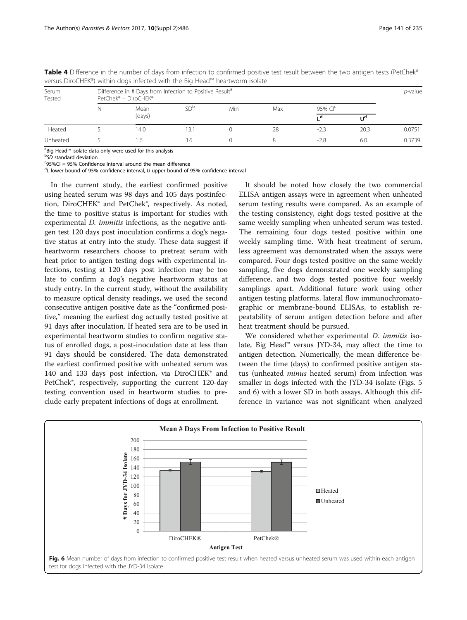| Serum<br>Tested | Difference in # Days from Infection to Positive Result <sup>a</sup><br>PetChek® - DiroCHEK® |                |      |     |     |           |                |        |
|-----------------|---------------------------------------------------------------------------------------------|----------------|------|-----|-----|-----------|----------------|--------|
|                 |                                                                                             | Mean<br>(days) |      | Min | Max | 95% $Clc$ |                |        |
|                 |                                                                                             |                |      |     |     | ιd        | U <sup>a</sup> |        |
| Heated          |                                                                                             | 14.0           | 13.1 |     | 28  | $-2.3$    | 20.3           | 0.0751 |
| Unheated        |                                                                                             | . 6            | 3.6  |     |     | $-2.8$    | 6.0            | 0.3739 |

<span id="page-6-0"></span>Table 4 Difference in the number of days from infection to confirmed positive test result between the two antigen tests (PetChek® versus DiroCHEK®) within dogs infected with the Big Head™ heartworm isolate

<sup>a</sup>Big Head™ isolate data only were used for this analysis<br><sup>b</sup>SO standard deviation

 ${}^{\text{b}}$ SD standard deviation

 $c$ 95%CI = 95% Confidence Interval around the mean difference

<sup>d</sup>L lower bound of 95% confidence interval, U upper bound of 95% confidence interval

In the current study, the earliest confirmed positive using heated serum was 98 days and 105 days postinfection, DiroCHEK® and PetChek®, respectively. As noted, the time to positive status is important for studies with experimental *D. immitis* infections, as the negative antigen test 120 days post inoculation confirms a dog's negative status at entry into the study. These data suggest if heartworm researchers choose to pretreat serum with heat prior to antigen testing dogs with experimental infections, testing at 120 days post infection may be too late to confirm a dog's negative heartworm status at study entry. In the current study, without the availability to measure optical density readings, we used the second consecutive antigen positive date as the "confirmed positive," meaning the earliest dog actually tested positive at 91 days after inoculation. If heated sera are to be used in experimental heartworm studies to confirm negative status of enrolled dogs, a post-inoculation date at less than 91 days should be considered. The data demonstrated the earliest confirmed positive with unheated serum was 140 and 133 days post infection, via DiroCHEK® and PetChek®, respectively, supporting the current 120-day testing convention used in heartworm studies to preclude early prepatent infections of dogs at enrollment.

It should be noted how closely the two commercial ELISA antigen assays were in agreement when unheated serum testing results were compared. As an example of the testing consistency, eight dogs tested positive at the same weekly sampling when unheated serum was tested. The remaining four dogs tested positive within one weekly sampling time. With heat treatment of serum, less agreement was demonstrated when the assays were compared. Four dogs tested positive on the same weekly sampling, five dogs demonstrated one weekly sampling difference, and two dogs tested positive four weekly samplings apart. Additional future work using other antigen testing platforms, lateral flow immunochromatographic or membrane-bound ELISAs, to establish repeatability of serum antigen detection before and after heat treatment should be pursued.

We considered whether experimental *D. immitis* isolate, Big Head™ versus JYD-34, may affect the time to antigen detection. Numerically, the mean difference between the time (days) to confirmed positive antigen status (unheated minus heated serum) from infection was smaller in dogs infected with the JYD-34 isolate (Figs. [5](#page-5-0) and 6) with a lower SD in both assays. Although this difference in variance was not significant when analyzed

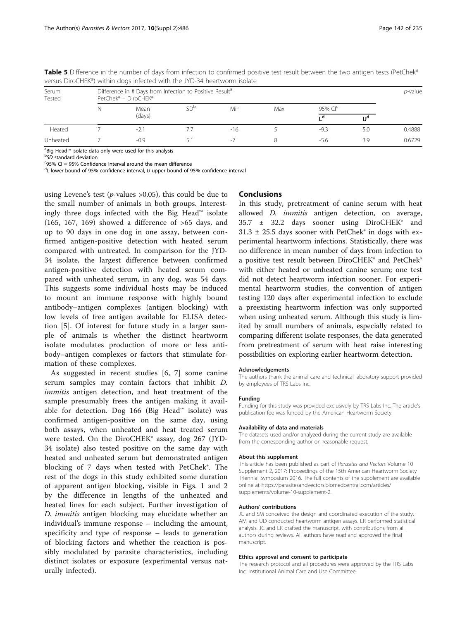| Serum<br>Tested | Difference in # Days from Infection to Positive Result <sup>a</sup><br>PetChek® - DiroCHEK® |                |                 |                  |     |           |     |        |
|-----------------|---------------------------------------------------------------------------------------------|----------------|-----------------|------------------|-----|-----------|-----|--------|
|                 |                                                                                             | Mean<br>(days) | SD <sup>b</sup> | <b>Min</b>       | Max | 95% $Clc$ |     |        |
|                 |                                                                                             |                |                 |                  |     | ιd        | IJq |        |
| Heated          |                                                                                             | $-2.1$         |                 | $-16$            |     | $-9.3$    | 5.0 | 0.4888 |
| Unheated        |                                                                                             | $-0.9$         |                 | $\sim$ $\lambda$ |     | -5.6      | 3.9 | 0.6729 |

<span id="page-7-0"></span>Table 5 Difference in the number of days from infection to confirmed positive test result between the two antigen tests (PetChek® versus DiroCHEK®) within dogs infected with the JYD-34 heartworm isolate

<sup>a</sup>Big Head™ isolate data only were used for this analysis<br><sup>b</sup>SO standard deviation

 ${}^{\text{b}}$ SD standard deviation

 $95\%$  CI = 95% Confidence Interval around the mean difference

<sup>d</sup>L lower bound of 95% confidence interval, U upper bound of 95% confidence interval

using Levene's test ( $p$ -values >0.05), this could be due to the small number of animals in both groups. Interestingly three dogs infected with the Big Head™ isolate (165, 167, 169) showed a difference of  $>65$  days, and up to 90 days in one dog in one assay, between confirmed antigen-positive detection with heated serum compared with untreated. In comparison for the JYD-34 isolate, the largest difference between confirmed antigen-positive detection with heated serum compared with unheated serum, in any dog, was 54 days. This suggests some individual hosts may be induced to mount an immune response with highly bound antibody–antigen complexes (antigen blocking) with low levels of free antigen available for ELISA detection [[5\]](#page-8-0). Of interest for future study in a larger sample of animals is whether the distinct heartworm isolate modulates production of more or less antibody–antigen complexes or factors that stimulate formation of these complexes.

As suggested in recent studies [[6, 7](#page-8-0)] some canine serum samples may contain factors that inhibit D. immitis antigen detection, and heat treatment of the sample presumably frees the antigen making it available for detection. Dog 166 (Big Head™ isolate) was confirmed antigen-positive on the same day, using both assays, when unheated and heat treated serum were tested. On the DiroCHEK® assay, dog 267 (JYD-34 isolate) also tested positive on the same day with heated and unheated serum but demonstrated antigen blocking of 7 days when tested with PetChek®. The rest of the dogs in this study exhibited some duration of apparent antigen blocking, visible in Figs. [1](#page-2-0) and [2](#page-2-0) by the difference in lengths of the unheated and heated lines for each subject. Further investigation of D. immitis antigen blocking may elucidate whether an individual's immune response – including the amount, specificity and type of response – leads to generation of blocking factors and whether the reaction is possibly modulated by parasite characteristics, including distinct isolates or exposure (experimental versus naturally infected).

# **Conclusions**

In this study, pretreatment of canine serum with heat allowed *D. immitis* antigen detection, on average, 35.7 ± 32.2 days sooner using DiroCHEK® and  $31.3 \pm 25.5$  days sooner with PetChek® in dogs with experimental heartworm infections. Statistically, there was no difference in mean number of days from infection to a positive test result between DiroCHEK® and PetChek® with either heated or unheated canine serum; one test did not detect heartworm infection sooner. For experimental heartworm studies, the convention of antigen testing 120 days after experimental infection to exclude a preexisting heartworm infection was only supported when using unheated serum. Although this study is limited by small numbers of animals, especially related to comparing different isolate responses, the data generated from pretreatment of serum with heat raise interesting possibilities on exploring earlier heartworm detection.

#### Acknowledgements

The authors thank the animal care and technical laboratory support provided by employees of TRS Labs Inc.

#### Funding

Funding for this study was provided exclusively by TRS Labs Inc. The article's publication fee was funded by the American Heartworm Society.

#### Availability of data and materials

The datasets used and/or analyzed during the current study are available from the corresponding author on reasonable request.

#### About this supplement

This article has been published as part of Parasites and Vectors Volume 10 Supplement 2, 2017: Proceedings of the 15th American Heartworm Society Triennial Symposium 2016. The full contents of the supplement are available online at https://parasitesandvectors.biomedcentral.com/articles/ supplements/volume-10-supplement-2.

#### Authors' contributions

JC and SM conceived the design and coordinated execution of the study. AM and UD conducted heartworm antigen assays. LR performed statistical analysis. JC and LR drafted the manuscript, with contributions from all authors during reviews. All authors have read and approved the final manuscript.

#### Ethics approval and consent to participate

The research protocol and all procedures were approved by the TRS Labs Inc. Institutional Animal Care and Use Committee.